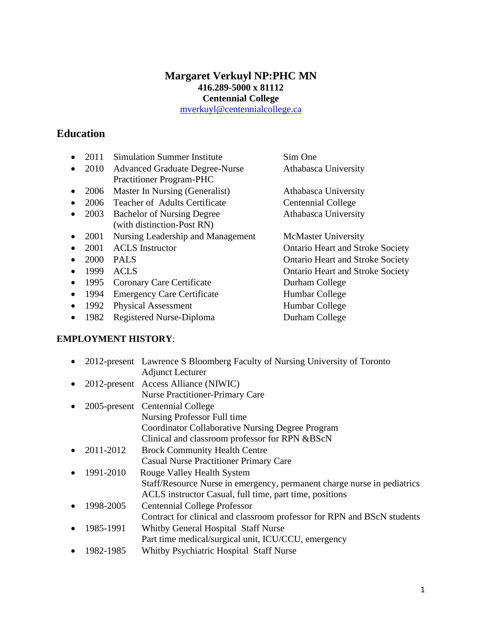# **Margaret Verkuyl NP:PHC MN 416.289-5000 x 81112 Centennial College**

[mverkuyl@centennialcollege.ca](mailto:mverkuyl@centennialcollege.ca)

# **Education**

- 2011 Simulation Summer Institute Sim One
- 2010 Advanced Graduate Degree-Nurse Athabasca University Practitioner Program-PHC
- 2006 Master In Nursing (Generalist) Athabasca University
- 2006 Teacher of Adults Certificate Centennial College
- 2003 Bachelor of Nursing Degree Athabasca University (with distinction-Post RN)
- 2001 Nursing Leadership and Management McMaster University
- 
- 
- 
- 1995 Coronary Care Certificate Durham College
- 1994 Emergency Care Certificate Humbar College
- 1992 Physical Assessment Humbar College
- 1982 Registered Nurse-Diploma<br>
Durham College

## **EMPLOYMENT HISTORY**:

• 2012-present Lawrence S Bloomberg Faculty of Nursing University of Toronto Adjunct Lecturer • 2012-present Access Alliance (NIWIC) Nurse Practitioner-Primary Care • 2005-present Centennial College Nursing Professor Full time Coordinator Collaborative Nursing Degree Program Clinical and classroom professor for RPN &BScN • 2011-2012 Brock Community Health Centre Casual Nurse Practitioner Primary Care • 1991-2010 Rouge Valley Health System Staff/Resource Nurse in emergency, permanent charge nurse in pediatrics ACLS instructor Casual, full time, part time, positions • 1998-2005 Centennial College Professor Contract for clinical and classroom professor for RPN and BScN students • 1985-1991 Whitby General Hospital Staff Nurse Part time medical/surgical unit, ICU/CCU, emergency • 1982-1985 Whitby Psychiatric Hospital Staff Nurse

• 2001 ACLS Instructor Ontario Heart and Stroke Society • 2000 PALS Ontario Heart and Stroke Society • 1999 ACLS Ontario Heart and Stroke Society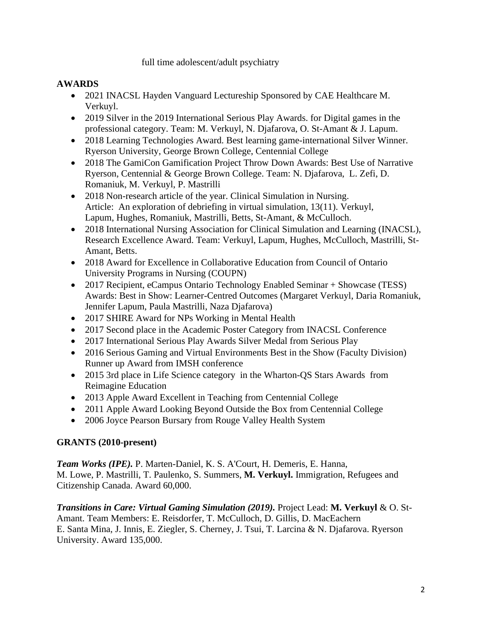### full time adolescent/adult psychiatry

## **AWARDS**

- 2021 INACSL Hayden Vanguard Lectureship Sponsored by CAE Healthcare M. Verkuyl.
- 2019 Silver in the 2019 International Serious Play Awards. for Digital games in the professional category. Team: M. Verkuyl, N. Djafarova, O. St-Amant & J. Lapum.
- 2018 Learning Technologies Award. Best learning game-international Silver Winner. Ryerson University, George Brown College, Centennial College
- 2018 The GamiCon Gamification Project Throw Down Awards: Best Use of Narrative Ryerson, Centennial & George Brown College. Team: N. Djafarova, L. Zefi, D. Romaniuk, M. Verkuyl, P. Mastrilli
- 2018 Non-research article of the year. Clinical Simulation in Nursing. Article: An exploration of debriefing in virtual simulation, 13(11). Verkuyl, Lapum, Hughes, Romaniuk, Mastrilli, Betts, St-Amant, & McCulloch.
- 2018 International Nursing Association for Clinical Simulation and Learning (INACSL), Research Excellence Award. Team: Verkuyl, Lapum, Hughes, McCulloch, Mastrilli, St-Amant, Betts.
- 2018 Award for Excellence in Collaborative Education from Council of Ontario University Programs in Nursing (COUPN)
- 2017 Recipient, eCampus Ontario Technology Enabled Seminar + Showcase (TESS) Awards: Best in Show: Learner-Centred Outcomes (Margaret Verkuyl, Daria Romaniuk, Jennifer Lapum, Paula Mastrilli, Naza Djafarova)
- 2017 SHIRE Award for NPs Working in Mental Health
- 2017 Second place in the Academic Poster Category from INACSL Conference
- 2017 International Serious Play Awards Silver Medal from Serious Play
- 2016 Serious Gaming and Virtual Environments Best in the Show (Faculty Division) Runner up Award from IMSH conference
- 2015 3rd place in Life Science category in the Wharton-QS Stars Awards from Reimagine Education
- 2013 Apple Award Excellent in Teaching from Centennial College
- 2011 Apple Award Looking Beyond Outside the Box from Centennial College
- 2006 Joyce Pearson Bursary from Rouge Valley Health System

## **GRANTS (2010-present)**

*Team Works (IPE).* P. Marten-Daniel, K. S. A'Court, H. Demeris, E. Hanna, M. Lowe, P. Mastrilli, T. Paulenko, S. Summers, **M. Verkuyl.** Immigration, Refugees and Citizenship Canada. Award 60,000.

*Transitions in Care: Virtual Gaming Simulation (2019).* Project Lead: **M. Verkuyl** & O. St-Amant. Team Members: E. Reisdorfer, T. McCulloch, D. Gillis, D. MacEachern E. Santa Mina, J. Innis, E. Ziegler, S. Cherney, J. Tsui, T. Larcina & N. Djafarova. Ryerson University. Award 135,000.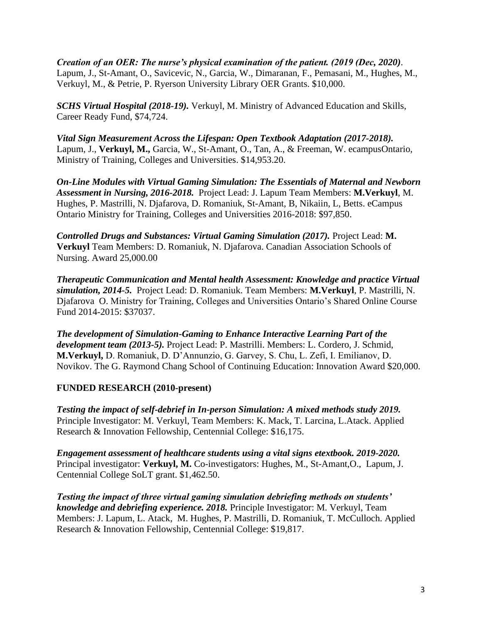*Creation of an OER: The nurse's physical examination of the patient. (2019 (Dec, 2020)*. Lapum, J., St-Amant, O., Savicevic, N., Garcia, W., Dimaranan, F., Pemasani, M., Hughes, M., Verkuyl, M., & Petrie, P. Ryerson University Library OER Grants. \$10,000.

*SCHS Virtual Hospital (2018-19).* Verkuyl, M. Ministry of Advanced Education and Skills, Career Ready Fund, \$74,724.

*Vital Sign Measurement Across the Lifespan: Open Textbook Adaptation (2017-2018).*  Lapum, J., **Verkuyl, M.,** Garcia, W., St-Amant, O., Tan, A., & Freeman, W. ecampusOntario, Ministry of Training, Colleges and Universities. \$14,953.20.

*On-Line Modules with Virtual Gaming Simulation: The Essentials of Maternal and Newborn Assessment in Nursing, 2016-2018.* Project Lead: J. Lapum Team Members: **M.Verkuyl**, M. Hughes, P. Mastrilli, N. Djafarova, D. Romaniuk, St-Amant, B, Nikaiin, L, Betts. eCampus Ontario Ministry for Training, Colleges and Universities 2016-2018: \$97,850.

*Controlled Drugs and Substances: Virtual Gaming Simulation (2017).* Project Lead: **M. Verkuyl** Team Members: D. Romaniuk, N. Djafarova. Canadian Association Schools of Nursing. Award 25,000.00

*Therapeutic Communication and Mental health Assessment: Knowledge and practice Virtual simulation, 2014-5.* Project Lead: D. Romaniuk. Team Members: **M.Verkuyl**, P. Mastrilli, N. Djafarova O. Ministry for Training, Colleges and Universities Ontario's Shared Online Course Fund 2014-2015: \$37037.

*The development of Simulation-Gaming to Enhance Interactive Learning Part of the development team (2013-5).* Project Lead: P. Mastrilli. Members: L. Cordero, J. Schmid, **M.Verkuyl,** D. Romaniuk, D. D'Annunzio, G. Garvey, S. Chu, L. Zefi, I. Emilianov, D. Novikov. The G. Raymond Chang School of Continuing Education: Innovation Award \$20,000.

## **FUNDED RESEARCH (2010-present)**

*Testing the impact of self-debrief in In-person Simulation: A mixed methods study 2019.*  Principle Investigator: M. Verkuyl, Team Members: K. Mack, T. Larcina, L.Atack. Applied Research & Innovation Fellowship, Centennial College: \$16,175.

*Engagement assessment of healthcare students using a vital signs etextbook. 2019-2020.*  Principal investigator: **Verkuyl, M.** Co-investigators: Hughes, M., St-Amant,O., Lapum, J. Centennial College SoLT grant. \$1,462.50.

*Testing the impact of three virtual gaming simulation debriefing methods on students' knowledge and debriefing experience. 2018.* Principle Investigator: M. Verkuyl, Team Members: J. Lapum, L. Atack, M. Hughes, P. Mastrilli, D. Romaniuk, T. McCulloch. Applied Research & Innovation Fellowship, Centennial College: \$19,817.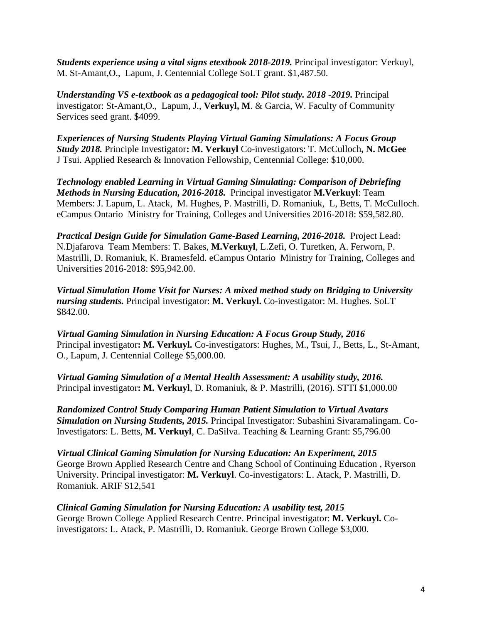*Students experience using a vital signs etextbook 2018-2019.* Principal investigator: Verkuyl, M. St-Amant,O., Lapum, J. Centennial College SoLT grant. \$1,487.50.

*Understanding VS e-textbook as a pedagogical tool: Pilot study. 2018 -2019. Principal* investigator: St-Amant,O., Lapum, J., **Verkuyl, M**. & Garcia, W. Faculty of Community Services seed grant. \$4099.

*Experiences of Nursing Students Playing Virtual Gaming Simulations: A Focus Group Study 2018.* Principle Investigator**: M. Verkuyl** Co-investigators: T. McCulloch**, N. McGee** J Tsui. Applied Research & Innovation Fellowship, Centennial College: \$10,000.

*Technology enabled Learning in Virtual Gaming Simulating: Comparison of Debriefing Methods in Nursing Education, 2016-2018.* Principal investigator **M.Verkuyl**: Team Members: J. Lapum, L. Atack, M. Hughes, P. Mastrilli, D. Romaniuk, L, Betts, T. McCulloch. eCampus Ontario Ministry for Training, Colleges and Universities 2016-2018: \$59,582.80.

*Practical Design Guide for Simulation Game-Based Learning, 2016-2018.* Project Lead: N.Djafarova Team Members: T. Bakes, **M.Verkuyl**, L.Zefi, O. Turetken, A. Ferworn, P. Mastrilli, D. Romaniuk, K. Bramesfeld. eCampus Ontario Ministry for Training, Colleges and Universities 2016-2018: \$95,942.00.

*Virtual Simulation Home Visit for Nurses: A mixed method study on Bridging to University nursing students.* Principal investigator: **M. Verkuyl.** Co-investigator: M. Hughes. SoLT \$842.00.

*Virtual Gaming Simulation in Nursing Education: A Focus Group Study, 2016* Principal investigator**: M. Verkuyl.** Co-investigators: Hughes, M., Tsui, J., Betts, L., St-Amant, O., Lapum, J. Centennial College \$5,000.00.

*Virtual Gaming Simulation of a Mental Health Assessment: A usability study, 2016.* Principal investigator**: M. Verkuyl**, D. Romaniuk, & P. Mastrilli, (2016). STTI \$1,000.00

*Randomized Control Study Comparing Human Patient Simulation to Virtual Avatars Simulation on Nursing Students, 2015.* Principal Investigator: Subashini Sivaramalingam. Co-Investigators: L. Betts, **M. Verkuyl**, C. DaSilva. Teaching & Learning Grant: \$5,796.00

*Virtual Clinical Gaming Simulation for Nursing Education: An Experiment, 2015* George Brown Applied Research Centre and Chang School of Continuing Education , Ryerson University. Principal investigator: **M. Verkuyl**. Co-investigators: L. Atack, P. Mastrilli, D. Romaniuk. ARIF \$12,541

*Clinical Gaming Simulation for Nursing Education: A usability test, 2015* George Brown College Applied Research Centre. Principal investigator: **M. Verkuyl.** Coinvestigators: L. Atack, P. Mastrilli, D. Romaniuk. George Brown College \$3,000.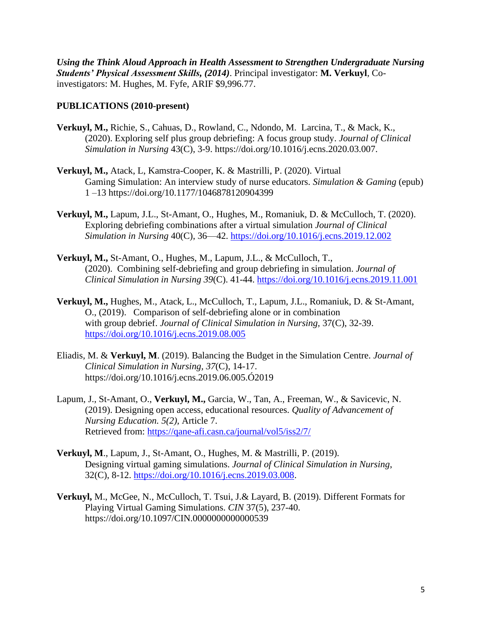*Using the Think Aloud Approach in Health Assessment to Strengthen Undergraduate Nursing Students' Physical Assessment Skills, (2014)*. Principal investigator: **M. Verkuyl**, Coinvestigators: M. Hughes, M. Fyfe, ARIF \$9,996.77.

### **PUBLICATIONS (2010-present)**

- **Verkuyl, M.,** Richie, S., Cahuas, D., Rowland, C., Ndondo, M. Larcina, T., & Mack, K., (2020). Exploring self plus group debriefing: A focus group study. *Journal of Clinical Simulation in Nursing* 43(C), 3-9. https://doi.org/10.1016/j.ecns.2020.03.007.
- **Verkuyl, M.,** Atack, L, Kamstra-Cooper, K. & Mastrilli, P. (2020). Virtual Gaming Simulation: An interview study of nurse educators. *Simulation & Gaming* (epub) 1 –13 https://doi.org/10.1177/1046878120904399
- **Verkuyl, M.,** Lapum, J.L., St-Amant, O., Hughes, M., Romaniuk, D. & McCulloch, T. (2020). Exploring debriefing combinations after a virtual simulation *Journal of Clinical Simulation in Nursing* 40(C), 36—42.<https://doi.org/10.1016/j.ecns.2019.12.002>
- **Verkuyl, M.,** St-Amant, O., Hughes, M., Lapum, J.L., & McCulloch, T., (2020). Combining self-debriefing and group debriefing in simulation. *Journal of Clinical Simulation in Nursing 39*(C). 41-44.<https://doi.org/10.1016/j.ecns.2019.11.001>
- **Verkuyl, M.,** Hughes, M., Atack, L., McCulloch, T., Lapum, J.L., Romaniuk, D. & St-Amant, O., (2019). Comparison of self-debriefing alone or in combination with group debrief. *Journal of Clinical Simulation in Nursing,* 37(C), 32-39. <https://doi.org/10.1016/j.ecns.2019.08.005>
- Eliadis, M. & **Verkuyl, M**. (2019). Balancing the Budget in the Simulation Centre. *Journal of Clinical Simulation in Nursing, 37*(C), 14-17. https://doi.org/10.1016/j.ecns.2019.06.005.Ó2019
- Lapum, J., St-Amant, O., **Verkuyl, M.,** Garcia, W., Tan, A., Freeman, W., & Savicevic, N. (2019). Designing open access, educational resources. *Quality of Advancement of Nursing Education. 5(2),* Article 7. Retrieved from:<https://qane-afi.casn.ca/journal/vol5/iss2/7/>
- **Verkuyl, M**., Lapum, J., St-Amant, O., Hughes, M. & Mastrilli, P. (2019). Designing virtual gaming simulations. *Journal of Clinical Simulation in Nursing*, 32(C), 8-12. [https://doi.org/10.1016/j.ecns.2019.03.008.](https://doi.org/10.1016/j.ecns.2019.03.008)
- **Verkuyl,** M., McGee, N., McCulloch, T. Tsui, J.& Layard, B. (2019). Different Formats for Playing Virtual Gaming Simulations. *CIN* 37(5), 237-40. https://doi.org/10.1097/CIN.0000000000000539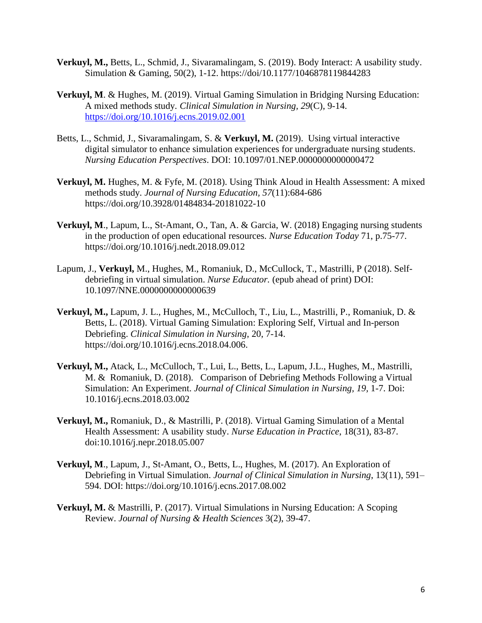- **Verkuyl, M.,** Betts, L., Schmid, J., Sivaramalingam, S. (2019). Body Interact: A usability study. Simulation & Gaming, 50(2), 1-12. https://doi/10.1177/1046878119844283
- **Verkuyl, M**. & Hughes, M. (2019). Virtual Gaming Simulation in Bridging Nursing Education: A mixed methods study*. Clinical Simulation in Nursing, 29*(C), 9-14. <https://doi.org/10.1016/j.ecns.2019.02.001>
- Betts, L., Schmid, J., Sivaramalingam, S. & **Verkuyl, M.** (2019). Using virtual interactive digital simulator to enhance simulation experiences for undergraduate nursing students. *Nursing Education Perspectives*. DOI: 10.1097/01.NEP.0000000000000472
- **Verkuyl, M.** Hughes, M. & Fyfe, M. (2018). Using Think Aloud in Health Assessment: A mixed methods study*. Journal of Nursing Education, 57*(11):684-686 https://doi.org/10.3928/01484834-20181022-10
- **Verkuyl, M**., Lapum, L., St-Amant, O., Tan, A. & Garcia, W. (2018) Engaging nursing students in the production of open educational resources. *Nurse Education Today* 71, p.75-77. https://doi.org/10.1016/j.nedt.2018.09.012
- Lapum, J., **Verkuyl,** M., Hughes, M., Romaniuk, D., McCullock, T., Mastrilli, P (2018). Selfdebriefing in virtual simulation. *Nurse Educator.* (epub ahead of print) DOI: 10.1097/NNE.0000000000000639
- **Verkuyl, M.,** Lapum, J. L., Hughes, M., McCulloch, T., Liu, L., Mastrilli, P., Romaniuk, D. & Betts, L. (2018). Virtual Gaming Simulation: Exploring Self, Virtual and In-person Debriefing. *Clinical Simulation in Nursing*, 20, 7-14. https://doi.org/10.1016/j.ecns.2018.04.006.
- **Verkuyl, M.,** Atack, L., McCulloch, T., Lui, L., Betts, L., Lapum, J.L., Hughes, M., Mastrilli, M. & Romaniuk, D. (2018). Comparison of Debriefing Methods Following a Virtual Simulation: An Experiment. *Journal of Clinical Simulation in Nursing, 19,* 1-7. Doi: 10.1016/j.ecns.2018.03.002
- **Verkuyl, M.,** Romaniuk, D., & Mastrilli, P. (2018). Virtual Gaming Simulation of a Mental Health Assessment: A usability study. *Nurse Education in Practice*, 18(31), 83-87. doi:10.1016/j.nepr.2018.05.007
- **Verkuyl, M**., Lapum, J., St-Amant, O., Betts, L., Hughes, M. (2017). An Exploration of Debriefing in Virtual Simulation. *Journal of Clinical Simulation in Nursing*, 13(11), 591– 594. DOI: https://doi.org/10.1016/j.ecns.2017.08.002
- **Verkuyl, M.** & Mastrilli, P. (2017). Virtual Simulations in Nursing Education: A Scoping Review. *Journal of Nursing & Health Sciences* 3(2), 39-47.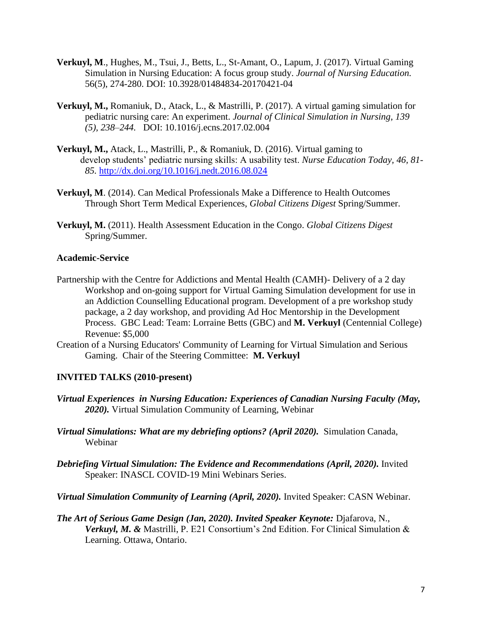- **Verkuyl, M**., Hughes, M., Tsui, J., Betts, L., St-Amant, O., Lapum, J. (2017). Virtual Gaming Simulation in Nursing Education: A focus group study. *Journal of Nursing Education.* 56(5), 274-280. DOI: 10.3928/01484834-20170421-04
- **Verkuyl, M.,** Romaniuk, D., Atack, L., & Mastrilli, P. (2017). A virtual gaming simulation for pediatric nursing care: An experiment. *Journal of Clinical Simulation in Nursing, 139 (5), 238–244.* DOI: 10.1016/j.ecns.2017.02.004
- **Verkuyl, M.,** Atack, L., Mastrilli, P., & Romaniuk, D. (2016). Virtual gaming to develop students' pediatric nursing skills: A usability test. *Nurse Education Today, 46, 81- 85.* <http://dx.doi.org/10.1016/j.nedt.2016.08.024>
- **Verkuyl, M**. (2014). Can Medical Professionals Make a Difference to Health Outcomes Through Short Term Medical Experiences, *Global Citizens Digest* Spring/Summer.
- **Verkuyl, M.** (2011). Health Assessment Education in the Congo. *Global Citizens Digest* Spring/Summer.

#### **Academic-Service**

- Partnership with the Centre for Addictions and Mental Health (CAMH)- Delivery of a 2 day Workshop and on-going support for Virtual Gaming Simulation development for use in an Addiction Counselling Educational program. Development of a pre workshop study package, a 2 day workshop, and providing Ad Hoc Mentorship in the Development Process. GBC Lead: Team: Lorraine Betts (GBC) and **M. Verkuyl** (Centennial College) Revenue: \$5,000
- Creation of a Nursing Educators' Community of Learning for Virtual Simulation and Serious Gaming. Chair of the Steering Committee: **M. Verkuyl**

## **INVITED TALKS (2010-present)**

- *Virtual Experiences in Nursing Education: Experiences of Canadian Nursing Faculty (May, 2020).* Virtual Simulation Community of Learning, Webinar
- *Virtual Simulations: What are my debriefing options? (April 2020).* Simulation Canada, Webinar
- *Debriefing Virtual Simulation: The Evidence and Recommendations (April, 2020).* Invited Speaker: INASCL COVID-19 Mini Webinars Series.
- *Virtual Simulation Community of Learning (April, 2020).* Invited Speaker: CASN Webinar.
- *The Art of Serious Game Design (Jan, 2020). Invited Speaker Keynote: Djafarova, N., Verkuyl, M. &* Mastrilli, P. E21 Consortium's 2nd Edition. For Clinical Simulation & Learning. Ottawa, Ontario.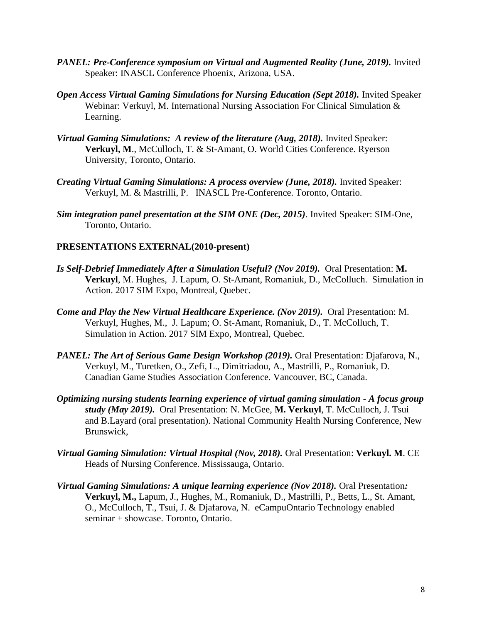- *PANEL: Pre-Conference symposium on Virtual and Augmented Reality (June, 2019).* **Invited** Speaker: INASCL Conference Phoenix, Arizona, USA.
- **Open Access Virtual Gaming Simulations for Nursing Education (Sept 2018).** Invited Speaker Webinar: Verkuyl, M. International Nursing Association For Clinical Simulation & Learning.
- *Virtual Gaming Simulations: A review of the literature (Aug, 2018).* Invited Speaker: **Verkuyl, M**., McCulloch, T. & St-Amant, O. World Cities Conference. Ryerson University, Toronto, Ontario.
- *Creating Virtual Gaming Simulations: A process overview (June, 2018). Invited Speaker:* Verkuyl, M. & Mastrilli, P. INASCL Pre-Conference. Toronto, Ontario.
- *Sim integration panel presentation at the SIM ONE (Dec, 2015)*. Invited Speaker: SIM-One, Toronto, Ontario.

#### **PRESENTATIONS EXTERNAL(2010-present)**

- *Is Self-Debrief Immediately After a Simulation Useful? (Nov 2019).* Oral Presentation: **M. Verkuyl**, M. Hughes, J. Lapum, O. St-Amant, Romaniuk, D., McColluch. Simulation in Action. 2017 SIM Expo, Montreal, Quebec.
- *Come and Play the New Virtual Healthcare Experience. (Nov 2019).* Oral Presentation: M. Verkuyl, Hughes, M., J. Lapum; O. St-Amant, Romaniuk, D., T. McColluch, T. Simulation in Action. 2017 SIM Expo, Montreal, Quebec.
- *PANEL: The Art of Serious Game Design Workshop (2019).* Oral Presentation: Djafarova, N., Verkuyl, M., Turetken, O., Zefi, L., Dimitriadou, A., Mastrilli, P., Romaniuk, D. Canadian Game Studies Association Conference. Vancouver, BC, Canada.
- *Optimizing nursing students learning experience of virtual gaming simulation - A focus group study (May 2019).* Oral Presentation: N. McGee, **M. Verkuyl**, T. McCulloch, J. Tsui and B.Layard (oral presentation). National Community Health Nursing Conference, New Brunswick,
- *Virtual Gaming Simulation: Virtual Hospital (Nov, 2018).* Oral Presentation: **Verkuyl. M**. CE Heads of Nursing Conference. Mississauga, Ontario.
- *Virtual Gaming Simulations: A unique learning experience (Nov 2018).* Oral Presentation*:*  **Verkuyl, M.,** Lapum, J., Hughes, M., Romaniuk, D., Mastrilli, P., Betts, L., St. Amant, O., McCulloch, T., Tsui, J. & Djafarova, N. eCampuOntario Technology enabled seminar + showcase. Toronto, Ontario.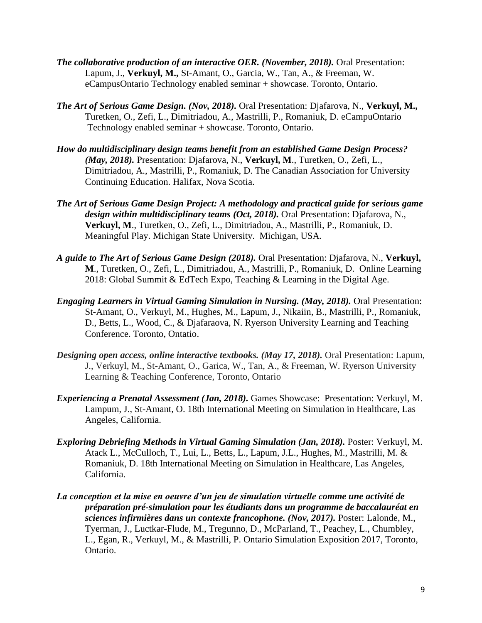- *The collaborative production of an interactive OER. (November, 2018).* Oral Presentation: Lapum, J., **Verkuyl, M.,** St-Amant, O., Garcia, W., Tan, A., & Freeman, W. eCampusOntario Technology enabled seminar + showcase. Toronto, Ontario.
- *The Art of Serious Game Design. (Nov, 2018).* Oral Presentation: Djafarova, N., **Verkuyl, M.,** Turetken, O., Zefi, L., Dimitriadou, A., Mastrilli, P., Romaniuk, D. eCampuOntario Technology enabled seminar + showcase. Toronto, Ontario.
- *How do multidisciplinary design teams benefit from an established Game Design Process? (May, 2018).* Presentation: Djafarova, N., **Verkuyl, M**., Turetken, O., Zefi, L., Dimitriadou, A., Mastrilli, P., Romaniuk, D. The Canadian Association for University Continuing Education. Halifax, Nova Scotia.
- *The Art of Serious Game Design Project: A methodology and practical guide for serious game design within multidisciplinary teams (Oct, 2018).* Oral Presentation: Djafarova, N., **Verkuyl, M**., Turetken, O., Zefi, L., Dimitriadou, A., Mastrilli, P., Romaniuk, D. Meaningful Play. Michigan State University. Michigan, USA.
- *A guide to The Art of Serious Game Design (2018).* Oral Presentation: Djafarova, N., **Verkuyl, M**., Turetken, O., Zefi, L., Dimitriadou, A., Mastrilli, P., Romaniuk, D. Online Learning 2018: Global Summit & EdTech Expo, Teaching & Learning in the Digital Age.
- *Engaging Learners in Virtual Gaming Simulation in Nursing. (May, 2018).* Oral Presentation: St-Amant, O., Verkuyl, M., Hughes, M., Lapum, J., Nikaiin, B., Mastrilli, P., Romaniuk, D., Betts, L., Wood, C., & Djafaraova, N. Ryerson University Learning and Teaching Conference. Toronto, Ontatio.
- *Designing open access, online interactive textbooks. (May 17, 2018).* Oral Presentation: Lapum, J., Verkuyl, M., St-Amant, O., Garica, W., Tan, A., & Freeman, W. Ryerson University Learning & Teaching Conference, Toronto, Ontario
- *Experiencing a Prenatal Assessment (Jan, 2018).* Games Showcase: Presentation: Verkuyl, M. Lampum, J., St-Amant, O. 18th International Meeting on Simulation in Healthcare, Las Angeles, California.
- *Exploring Debriefing Methods in Virtual Gaming Simulation (Jan, 2018).* Poster: Verkuyl, M. Atack L., McCulloch, T., Lui, L., Betts, L., Lapum, J.L., Hughes, M., Mastrilli, M. & Romaniuk, D. 18th International Meeting on Simulation in Healthcare, Las Angeles, California.
- *La conception et la mise en oeuvre d'un jeu de simulation virtuelle comme une activité de préparation pré-simulation pour les étudiants dans un programme de baccalauréat en sciences infirmières dans un contexte francophone. (Nov, 2017).* Poster: Lalonde, M., Tyerman, J., Luctkar-Flude, M., Tregunno, D., McParland, T., Peachey, L., Chumbley, L., Egan, R., Verkuyl, M., & Mastrilli, P. Ontario Simulation Exposition 2017, Toronto, Ontario.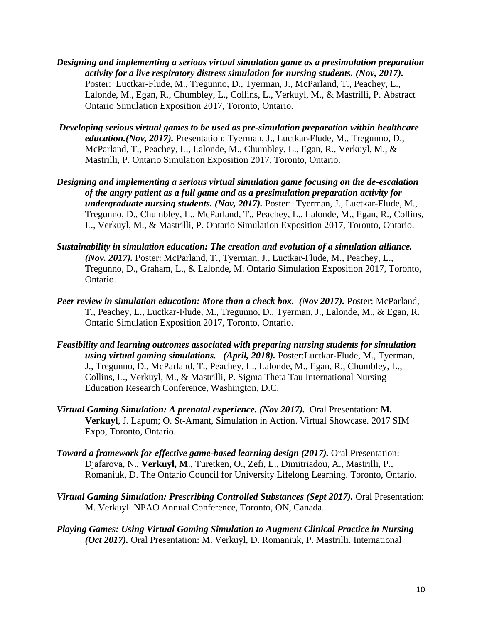- *Designing and implementing a serious virtual simulation game as a presimulation preparation activity for a live respiratory distress simulation for nursing students. (Nov, 2017).*  Poster: Luctkar-Flude, M., Tregunno, D., Tyerman, J., McParland, T., Peachey, L., Lalonde, M., Egan, R., Chumbley, L., Collins, L., Verkuyl, M., & Mastrilli, P. Abstract Ontario Simulation Exposition 2017, Toronto, Ontario.
- *Developing serious virtual games to be used as pre-simulation preparation within healthcare education.(Nov, 2017).* Presentation: Tyerman, J., Luctkar-Flude, M., Tregunno, D., McParland, T., Peachey, L., Lalonde, M., Chumbley, L., Egan, R., Verkuyl, M., & Mastrilli, P. Ontario Simulation Exposition 2017, Toronto, Ontario.
- *Designing and implementing a serious virtual simulation game focusing on the de-escalation of the angry patient as a full game and as a presimulation preparation activity for undergraduate nursing students. (Nov, 2017).* Poster: Tyerman, J., Luctkar-Flude, M., Tregunno, D., Chumbley, L., McParland, T., Peachey, L., Lalonde, M., Egan, R., Collins, L., Verkuyl, M., & Mastrilli, P. Ontario Simulation Exposition 2017, Toronto, Ontario.
- *Sustainability in simulation education: The creation and evolution of a simulation alliance. (Nov. 2017).* Poster: McParland, T., Tyerman, J., Luctkar-Flude, M., Peachey, L., Tregunno, D., Graham, L., & Lalonde, M. Ontario Simulation Exposition 2017, Toronto, Ontario.
- *Peer review in simulation education: More than a check box. (Nov 2017). Poster: McParland,* T., Peachey, L., Luctkar-Flude, M., Tregunno, D., Tyerman, J., Lalonde, M., & Egan, R. Ontario Simulation Exposition 2017, Toronto, Ontario.
- *Feasibility and learning outcomes associated with preparing nursing students for simulation using virtual gaming simulations. (April, 2018).* Poster:Luctkar-Flude, M., Tyerman, J., Tregunno, D., McParland, T., Peachey, L., Lalonde, M., Egan, R., Chumbley, L., Collins, L., Verkuyl, M., & Mastrilli, P. Sigma Theta Tau International Nursing Education Research Conference, Washington, D.C.
- *Virtual Gaming Simulation: A prenatal experience. (Nov 2017).* Oral Presentation: **M. Verkuyl**, J. Lapum; O. St-Amant, Simulation in Action. Virtual Showcase. 2017 SIM Expo, Toronto, Ontario.
- *Toward a framework for effective game-based learning design (2017).* Oral Presentation: Djafarova, N., **Verkuyl, M**., Turetken, O., Zefi, L., Dimitriadou, A., Mastrilli, P., Romaniuk, D. The Ontario Council for University Lifelong Learning. Toronto, Ontario.
- *Virtual Gaming Simulation: Prescribing Controlled Substances (Sept 2017).* Oral Presentation: M. Verkuyl. NPAO Annual Conference, Toronto, ON, Canada.
- *Playing Games: Using Virtual Gaming Simulation to Augment Clinical Practice in Nursing (Oct 2017).* Oral Presentation: M. Verkuyl, D. Romaniuk, P. Mastrilli. International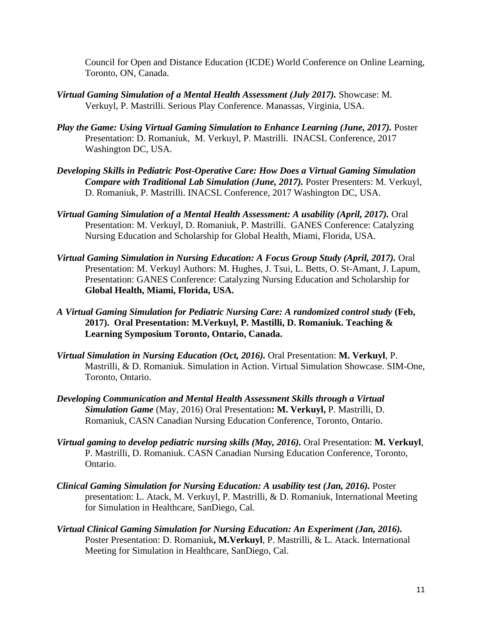Council for Open and Distance Education (ICDE) World Conference on Online Learning, Toronto, ON, Canada.

- *Virtual Gaming Simulation of a Mental Health Assessment (July 2017).* Showcase: M. Verkuyl, P. Mastrilli. Serious Play Conference. Manassas, Virginia, USA.
- *Play the Game: Using Virtual Gaming Simulation to Enhance Learning (June, 2017). Poster* Presentation: D. Romaniuk, M. Verkuyl, P. Mastrilli. INACSL Conference, 2017 Washington DC, USA.
- *Developing Skills in Pediatric Post-Operative Care: How Does a Virtual Gaming Simulation Compare with Traditional Lab Simulation (June, 2017). Poster Presenters: M. Verkuyl,* D. Romaniuk, P. Mastrilli. INACSL Conference, 2017 Washington DC, USA.
- *Virtual Gaming Simulation of a Mental Health Assessment: A usability (April, 2017).* Oral Presentation: M. Verkuyl, D. Romaniuk, P. Mastrilli. GANES Conference: Catalyzing Nursing Education and Scholarship for Global Health, Miami, Florida, USA.
- *Virtual Gaming Simulation in Nursing Education: A Focus Group Study (April, 2017).* Oral Presentation: M. Verkuyl Authors: M. Hughes, J. Tsui, L. Betts, O. St-Amant, J. Lapum, Presentation: GANES Conference: Catalyzing Nursing Education and Scholarship for **Global Health, Miami, Florida, USA.**
- *A Virtual Gaming Simulation for Pediatric Nursing Care: A randomized control study* **(Feb, 2017). Oral Presentation: M.Verkuyl, P. Mastilli, D. Romaniuk. Teaching & Learning Symposium Toronto, Ontario, Canada.**
- *Virtual Simulation in Nursing Education (Oct, 2016).* Oral Presentation: **M. Verkuyl**, P. Mastrilli, & D. Romaniuk. Simulation in Action. Virtual Simulation Showcase. SIM-One, Toronto, Ontario.
- *Developing Communication and Mental Health Assessment Skills through a Virtual Simulation Game* (May, 2016) Oral Presentation**: M. Verkuyl,** P. Mastrilli, D. Romaniuk, CASN Canadian Nursing Education Conference, Toronto, Ontario.
- *Virtual gaming to develop pediatric nursing skills (May, 2016).* Oral Presentation: **M. Verkuyl**, P. Mastrilli, D. Romaniuk. CASN Canadian Nursing Education Conference, Toronto, Ontario.
- *Clinical Gaming Simulation for Nursing Education: A usability test (Jan, 2016).* Poster presentation: L. Atack, M. Verkuyl, P. Mastrilli, & D. Romaniuk, International Meeting for Simulation in Healthcare, SanDiego, Cal.
- *Virtual Clinical Gaming Simulation for Nursing Education: An Experiment (Jan, 2016).* Poster Presentation: D. Romaniuk**, M.Verkuyl**, P. Mastrilli, & L. Atack. International Meeting for Simulation in Healthcare, SanDiego, Cal.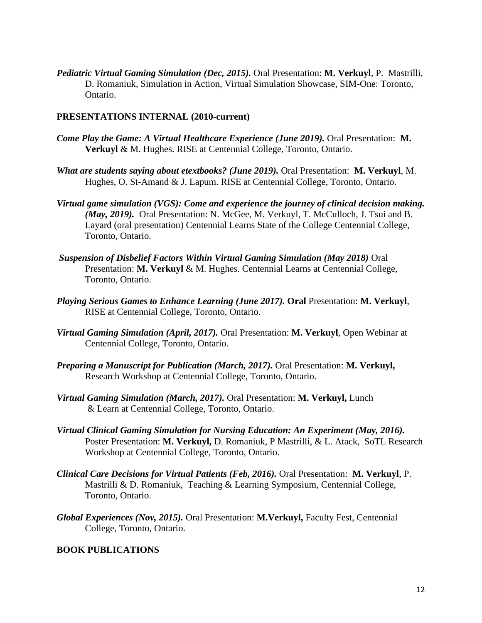*Pediatric Virtual Gaming Simulation (Dec, 2015).* Oral Presentation: **M. Verkuyl**, P. Mastrilli, D. Romaniuk, Simulation in Action, Virtual Simulation Showcase, SIM-One: Toronto, Ontario.

#### **PRESENTATIONS INTERNAL (2010-current)**

- *Come Play the Game: A Virtual Healthcare Experience (June 2019).* Oral Presentation: M. **Verkuyl** & M. Hughes. RISE at Centennial College, Toronto, Ontario.
- *What are students saying about etextbooks? (June 2019).* Oral Presentation: **M. Verkuyl**, M. Hughes, O. St-Amand & J. Lapum. RISE at Centennial College, Toronto, Ontario.
- *Virtual game simulation (VGS): Come and experience the journey of clinical decision making. (May, 2019).* Oral Presentation: N. McGee, M. Verkuyl, T. McCulloch, J. Tsui and B. Layard (oral presentation) Centennial Learns State of the College Centennial College, Toronto, Ontario.
- *Suspension of Disbelief Factors Within Virtual Gaming Simulation (May 2018)* Oral Presentation: **M. Verkuyl** & M. Hughes. Centennial Learns at Centennial College, Toronto, Ontario.
- *Playing Serious Games to Enhance Learning (June 2017).* **Oral** Presentation: **M. Verkuyl**, RISE at Centennial College, Toronto, Ontario.
- *Virtual Gaming Simulation (April, 2017).* Oral Presentation: **M. Verkuyl**, Open Webinar at Centennial College, Toronto, Ontario.
- *Preparing a Manuscript for Publication (March, 2017).* Oral Presentation: **M. Verkuyl,** Research Workshop at Centennial College, Toronto, Ontario.
- *Virtual Gaming Simulation (March, 2017).* Oral Presentation: **M. Verkuyl,** Lunch & Learn at Centennial College, Toronto, Ontario.
- *Virtual Clinical Gaming Simulation for Nursing Education: An Experiment (May, 2016).* Poster Presentation: **M. Verkuyl,** D. Romaniuk, P Mastrilli, & L. Atack, SoTL Research Workshop at Centennial College, Toronto, Ontario.
- *Clinical Care Decisions for Virtual Patients (Feb, 2016).* Oral Presentation: **M. Verkuyl**, P. Mastrilli & D. Romaniuk, Teaching & Learning Symposium, Centennial College, Toronto, Ontario.
- *Global Experiences (Nov, 2015).* Oral Presentation: **M.Verkuyl,** Faculty Fest, Centennial College, Toronto, Ontario.

#### **BOOK PUBLICATIONS**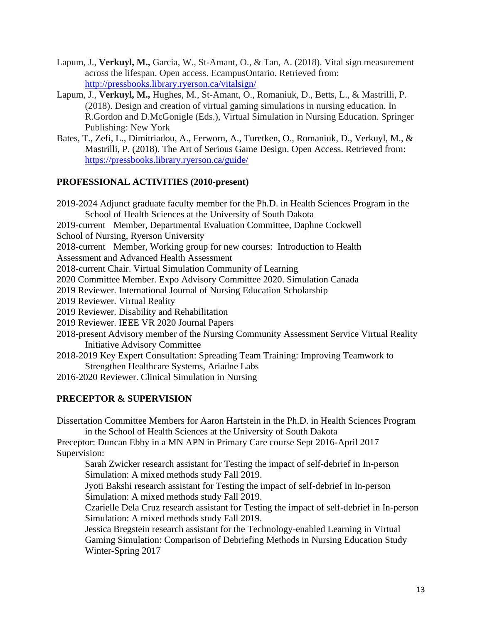- Lapum, J., **Verkuyl, M.,** Garcia, W., St-Amant, O., & Tan, A. (2018). Vital sign measurement across the lifespan. Open access. EcampusOntario. Retrieved from: <http://pressbooks.library.ryerson.ca/vitalsign/>
- Lapum, J., **Verkuyl, M.,** Hughes, M., St-Amant, O., Romaniuk, D., Betts, L., & Mastrilli, P. (2018). Design and creation of virtual gaming simulations in nursing education. In R.Gordon and D.McGonigle (Eds.), Virtual Simulation in Nursing Education. Springer Publishing: New York
- Bates, T., Zefi, L., Dimitriadou, A., Ferworn, A., Turetken, O., Romaniuk, D., Verkuyl, M., & Mastrilli, P. (2018). The Art of Serious Game Design. Open Access. Retrieved from: <https://pressbooks.library.ryerson.ca/guide/>

### **PROFESSIONAL ACTIVITIES (2010-present)**

- 2019-2024 Adjunct graduate faculty member for the Ph.D. in Health Sciences Program in the School of Health Sciences at the University of South Dakota
- 2019-current Member, Departmental Evaluation Committee, Daphne Cockwell
- School of Nursing, Ryerson University
- 2018-current Member, Working group for new courses: Introduction to Health
- Assessment and Advanced Health Assessment
- 2018-current Chair. Virtual Simulation Community of Learning
- 2020 Committee Member. Expo Advisory Committee 2020. Simulation Canada
- 2019 Reviewer. International Journal of Nursing Education Scholarship
- 2019 Reviewer. Virtual Reality
- 2019 Reviewer. Disability and Rehabilitation
- 2019 Reviewer. IEEE VR 2020 Journal Papers
- 2018-present Advisory member of the Nursing Community Assessment Service Virtual Reality Initiative Advisory Committee
- 2018-2019 Key Expert Consultation: Spreading Team Training: Improving Teamwork to Strengthen Healthcare Systems, Ariadne Labs
- 2016-2020 Reviewer. Clinical Simulation in Nursing

## **PRECEPTOR & SUPERVISION**

Dissertation Committee Members for Aaron Hartstein in the Ph.D. in Health Sciences Program

in the School of Health Sciences at the University of South Dakota Preceptor: Duncan Ebby in a MN APN in Primary Care course Sept 2016-April 2017 Supervision:

Sarah Zwicker research assistant for Testing the impact of self-debrief in In-person Simulation: A mixed methods study Fall 2019.

Jyoti Bakshi research assistant for Testing the impact of self-debrief in In-person Simulation: A mixed methods study Fall 2019.

Czarielle Dela Cruz research assistant for Testing the impact of self-debrief in In-person Simulation: A mixed methods study Fall 2019.

Jessica Bregstein research assistant for the Technology-enabled Learning in Virtual Gaming Simulation: Comparison of Debriefing Methods in Nursing Education Study Winter-Spring 2017